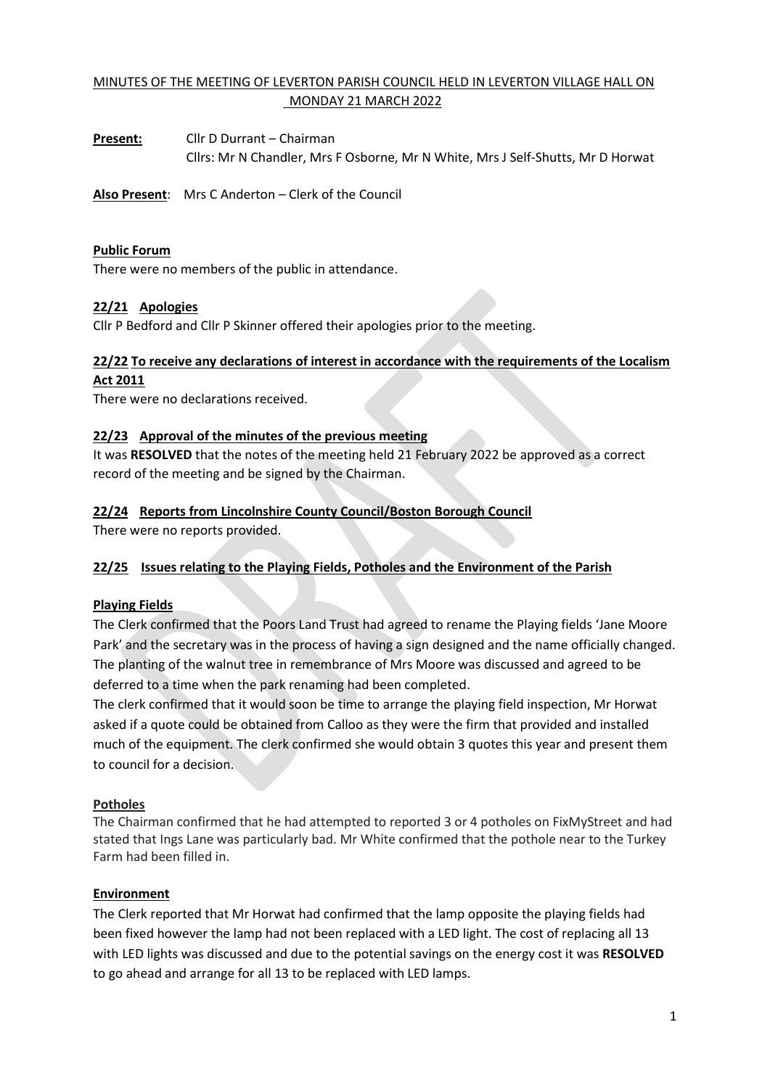# MINUTES OF THE MEETING OF LEVERTON PARISH COUNCIL HELD IN LEVERTON VILLAGE HALL ON MONDAY 21 MARCH 2022

**Present:** Cllr D Durrant – Chairman Cllrs: Mr N Chandler, Mrs F Osborne, Mr N White, Mrs J Self-Shutts, Mr D Horwat

**Also Present**: Mrs C Anderton – Clerk of the Council

### **Public Forum**

There were no members of the public in attendance.

# **22/21 Apologies**

Cllr P Bedford and Cllr P Skinner offered their apologies prior to the meeting.

# **22/22 To receive any declarations of interest in accordance with the requirements of the Localism**

#### **Act 2011**

There were no declarations received.

### **22/23 Approval of the minutes of the previous meeting**

It was **RESOLVED** that the notes of the meeting held 21 February 2022 be approved as a correct record of the meeting and be signed by the Chairman.

# **22/24 Reports from Lincolnshire County Council/Boston Borough Council**

There were no reports provided.

# **22/25 Issues relating to the Playing Fields, Potholes and the Environment of the Parish**

# **Playing Fields**

The Clerk confirmed that the Poors Land Trust had agreed to rename the Playing fields 'Jane Moore Park' and the secretary was in the process of having a sign designed and the name officially changed. The planting of the walnut tree in remembrance of Mrs Moore was discussed and agreed to be deferred to a time when the park renaming had been completed.

The clerk confirmed that it would soon be time to arrange the playing field inspection, Mr Horwat asked if a quote could be obtained from Calloo as they were the firm that provided and installed much of the equipment. The clerk confirmed she would obtain 3 quotes this year and present them to council for a decision.

#### **Potholes**

The Chairman confirmed that he had attempted to reported 3 or 4 potholes on FixMyStreet and had stated that Ings Lane was particularly bad. Mr White confirmed that the pothole near to the Turkey Farm had been filled in.

# **Environment**

The Clerk reported that Mr Horwat had confirmed that the lamp opposite the playing fields had been fixed however the lamp had not been replaced with a LED light. The cost of replacing all 13 with LED lights was discussed and due to the potential savings on the energy cost it was **RESOLVED** to go ahead and arrange for all 13 to be replaced with LED lamps.